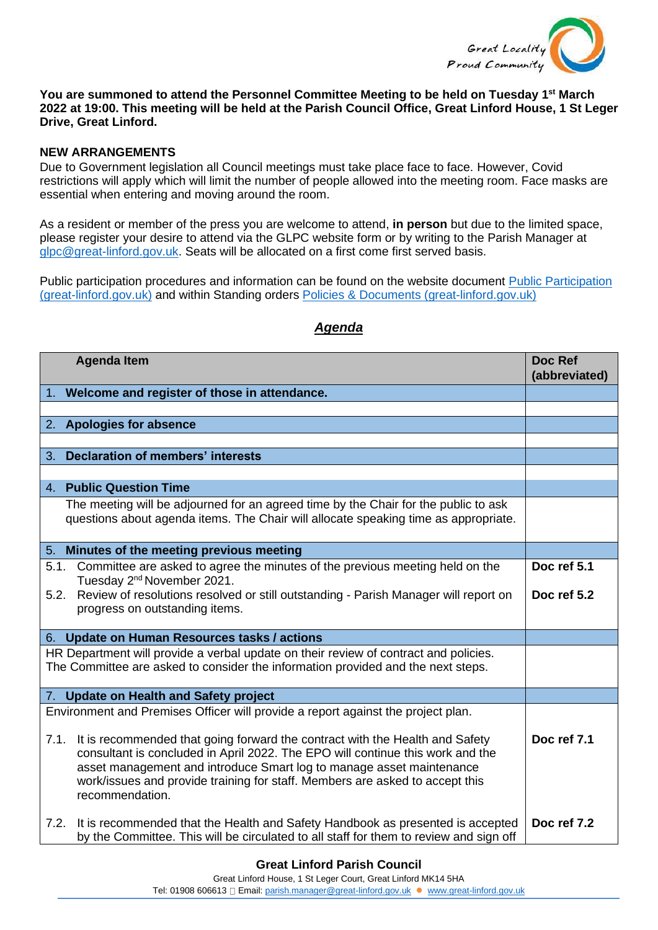

## **You are summoned to attend the Personnel Committee Meeting to be held on Tuesday 1 st March 2022 at 19:00. This meeting will be held at the Parish Council Office, Great Linford House, 1 St Leger Drive, Great Linford.**

## **NEW ARRANGEMENTS**

Due to Government legislation all Council meetings must take place face to face. However, Covid restrictions will apply which will limit the number of people allowed into the meeting room. Face masks are essential when entering and moving around the room.

As a resident or member of the press you are welcome to attend, **in person** but due to the limited space, please register your desire to attend via the GLPC website form or by writing to the Parish Manager at [glpc@great-linford.gov.uk.](mailto:glpc@great-linford.gov.uk) Seats will be allocated on a first come first served basis.

Public participation procedures and information can be found on the website document [Public Participation](https://www.great-linford.gov.uk/council-meetings/public-participation/)  [\(great-linford.gov.uk\)](https://www.great-linford.gov.uk/council-meetings/public-participation/) and within Standing orders [Policies & Documents \(great-linford.gov.uk\)](https://www.great-linford.gov.uk/the-parish-council/policies-documents/)

| <b>Agenda Item</b>                                                                                                                                                                                                                                                                                                                                | Doc Ref<br>(abbreviated) |
|---------------------------------------------------------------------------------------------------------------------------------------------------------------------------------------------------------------------------------------------------------------------------------------------------------------------------------------------------|--------------------------|
| 1. Welcome and register of those in attendance.                                                                                                                                                                                                                                                                                                   |                          |
|                                                                                                                                                                                                                                                                                                                                                   |                          |
| 2. Apologies for absence                                                                                                                                                                                                                                                                                                                          |                          |
|                                                                                                                                                                                                                                                                                                                                                   |                          |
| Declaration of members' interests<br>3.                                                                                                                                                                                                                                                                                                           |                          |
| 4. Public Question Time                                                                                                                                                                                                                                                                                                                           |                          |
| The meeting will be adjourned for an agreed time by the Chair for the public to ask<br>questions about agenda items. The Chair will allocate speaking time as appropriate.                                                                                                                                                                        |                          |
| Minutes of the meeting previous meeting<br>5.                                                                                                                                                                                                                                                                                                     |                          |
| Committee are asked to agree the minutes of the previous meeting held on the<br>5.1.<br>Tuesday 2 <sup>nd</sup> November 2021.                                                                                                                                                                                                                    | Doc ref 5.1              |
| Review of resolutions resolved or still outstanding - Parish Manager will report on<br>5.2.<br>progress on outstanding items.                                                                                                                                                                                                                     | Doc ref 5.2              |
| 6. Update on Human Resources tasks / actions                                                                                                                                                                                                                                                                                                      |                          |
| HR Department will provide a verbal update on their review of contract and policies.<br>The Committee are asked to consider the information provided and the next steps.                                                                                                                                                                          |                          |
| 7. Update on Health and Safety project                                                                                                                                                                                                                                                                                                            |                          |
| Environment and Premises Officer will provide a report against the project plan.                                                                                                                                                                                                                                                                  |                          |
| It is recommended that going forward the contract with the Health and Safety<br>7.1.<br>consultant is concluded in April 2022. The EPO will continue this work and the<br>asset management and introduce Smart log to manage asset maintenance<br>work/issues and provide training for staff. Members are asked to accept this<br>recommendation. | Doc ref 7.1              |
| It is recommended that the Health and Safety Handbook as presented is accepted<br>7.2.<br>by the Committee. This will be circulated to all staff for them to review and sign off                                                                                                                                                                  | Doc ref 7.2              |

## *Agenda*